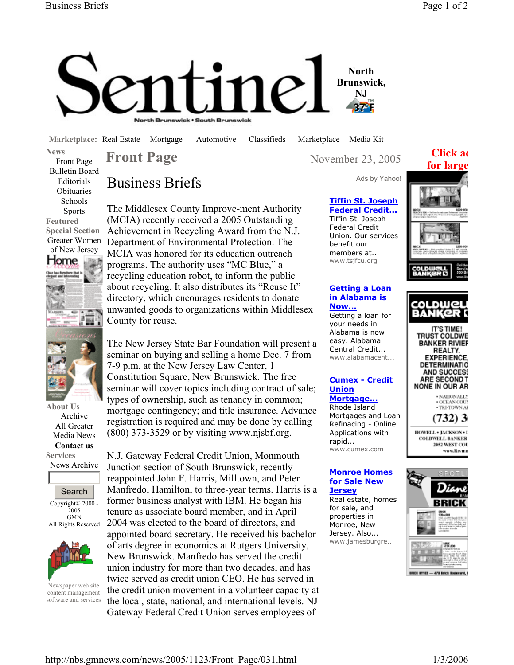

**Marketplace:** Real Estate Mortgage Automotive Classifieds Marketplace Media Kit

**News**  Front Page Bulletin Board Editorials **Obituaries** Schools Sports **Featured Special Section** 



**About Us**  Archive All Greater Media News **Contact us** 

**Services**  News Archive





Newspaper web site content management software and services

Business Briefs

The Middlesex County Improve-ment Authority (MCIA) recently received a 2005 Outstanding Achievement in Recycling Award from the N.J. Department of Environmental Protection. The MCIA was honored for its education outreach programs. The authority uses "MC Blue," a recycling education robot, to inform the public about recycling. It also distributes its "Reuse It" directory, which encourages residents to donate unwanted goods to organizations within Middlesex County for reuse.

The New Jersey State Bar Foundation will present a seminar on buying and selling a home Dec. 7 from 7-9 p.m. at the New Jersey Law Center, 1 Constitution Square, New Brunswick. The free seminar will cover topics including contract of sale; types of ownership, such as tenancy in common; mortgage contingency; and title insurance. Advance registration is required and may be done by calling (800) 373-3529 or by visiting www.njsbf.org.

N.J. Gateway Federal Credit Union, Monmouth Junction section of South Brunswick, recently reappointed John F. Harris, Milltown, and Peter Manfredo, Hamilton, to three-year terms. Harris is a former business analyst with IBM. He began his tenure as associate board member, and in April 2004 was elected to the board of directors, and appointed board secretary. He received his bachelor of arts degree in economics at Rutgers University, New Brunswick. Manfredo has served the credit union industry for more than two decades, and has twice served as credit union CEO. He has served in the credit union movement in a volunteer capacity at the local, state, national, and international levels. NJ Gateway Federal Credit Union serves employees of

**Front Page** November 23, 2005

# **Click ad**



## **Tiffin St. Joseph Federal Credit...**

Tiffin St. Joseph Federal Credit Union. Our services benefit our members at... www.tsjfcu.org

## **Getting a Loan in Alabama is**

**Now...** Getting a loan for your needs in Alabama is now easy. Alabama Central Credit... www.alabamacent...

#### **Cumex - Credit Union Mortgage...**

Rhode Island Mortgages and Loan Refinacing - Online Applications with rapid... www.cumex.com

### **Monroe Homes for Sale New Jersey**

Real estate, homes for sale, and properties in Monroe, New Jersey. Also... www.jamesburgre...



www.Riving

2052 WEST COU



**BUCK OFFICE - 470 Brick Boukeard, D**